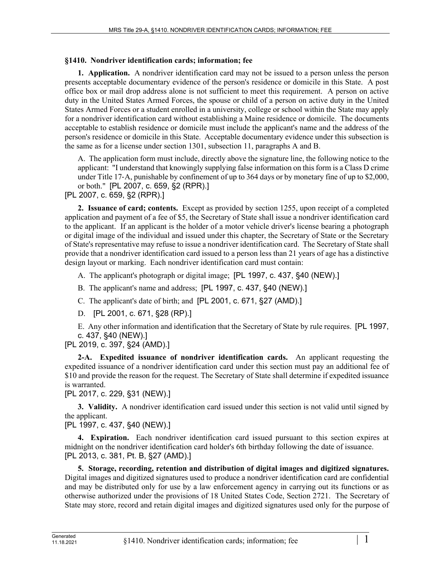## **§1410. Nondriver identification cards; information; fee**

**1. Application.** A nondriver identification card may not be issued to a person unless the person presents acceptable documentary evidence of the person's residence or domicile in this State. A post office box or mail drop address alone is not sufficient to meet this requirement. A person on active duty in the United States Armed Forces, the spouse or child of a person on active duty in the United States Armed Forces or a student enrolled in a university, college or school within the State may apply for a nondriver identification card without establishing a Maine residence or domicile. The documents acceptable to establish residence or domicile must include the applicant's name and the address of the person's residence or domicile in this State. Acceptable documentary evidence under this subsection is the same as for a license under section 1301, subsection 11, paragraphs A and B.

A. The application form must include, directly above the signature line, the following notice to the applicant: "I understand that knowingly supplying false information on this form is a Class D crime under Title 17‑A, punishable by confinement of up to 364 days or by monetary fine of up to \$2,000, or both." [PL 2007, c. 659, §2 (RPR).]

[PL 2007, c. 659, §2 (RPR).]

**2. Issuance of card; contents.** Except as provided by section 1255, upon receipt of a completed application and payment of a fee of \$5, the Secretary of State shall issue a nondriver identification card to the applicant. If an applicant is the holder of a motor vehicle driver's license bearing a photograph or digital image of the individual and issued under this chapter, the Secretary of State or the Secretary of State's representative may refuse to issue a nondriver identification card. The Secretary of State shall provide that a nondriver identification card issued to a person less than 21 years of age has a distinctive design layout or marking. Each nondriver identification card must contain:

A. The applicant's photograph or digital image; [PL 1997, c. 437, §40 (NEW).]

- B. The applicant's name and address; [PL 1997, c. 437, §40 (NEW).]
- C. The applicant's date of birth; and [PL 2001, c. 671, §27 (AMD).]
- D. [PL 2001, c. 671, §28 (RP).]

E. Any other information and identification that the Secretary of State by rule requires. [PL 1997, c. 437, §40 (NEW).]

[PL 2019, c. 397, §24 (AMD).]

**2-A. Expedited issuance of nondriver identification cards.** An applicant requesting the expedited issuance of a nondriver identification card under this section must pay an additional fee of \$10 and provide the reason for the request. The Secretary of State shall determine if expedited issuance is warranted.

[PL 2017, c. 229, §31 (NEW).]

**3. Validity.** A nondriver identification card issued under this section is not valid until signed by the applicant.

[PL 1997, c. 437, §40 (NEW).]

**4. Expiration.** Each nondriver identification card issued pursuant to this section expires at midnight on the nondriver identification card holder's 6th birthday following the date of issuance. [PL 2013, c. 381, Pt. B, §27 (AMD).]

**5. Storage, recording, retention and distribution of digital images and digitized signatures.**  Digital images and digitized signatures used to produce a nondriver identification card are confidential and may be distributed only for use by a law enforcement agency in carrying out its functions or as otherwise authorized under the provisions of 18 United States Code, Section 2721. The Secretary of State may store, record and retain digital images and digitized signatures used only for the purpose of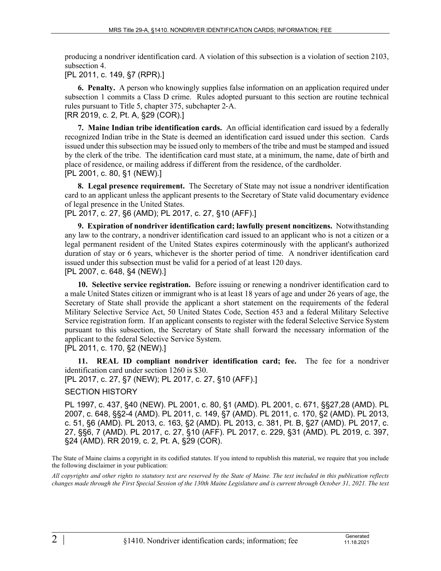producing a nondriver identification card. A violation of this subsection is a violation of section 2103, subsection 4.

[PL 2011, c. 149, §7 (RPR).]

**6. Penalty.** A person who knowingly supplies false information on an application required under subsection 1 commits a Class D crime. Rules adopted pursuant to this section are routine technical rules pursuant to Title 5, chapter 375, subchapter 2‑A. [RR 2019, c. 2, Pt. A, §29 (COR).]

**7. Maine Indian tribe identification cards.** An official identification card issued by a federally recognized Indian tribe in the State is deemed an identification card issued under this section. Cards issued under this subsection may be issued only to members of the tribe and must be stamped and issued by the clerk of the tribe. The identification card must state, at a minimum, the name, date of birth and place of residence, or mailing address if different from the residence, of the cardholder. [PL 2001, c. 80, §1 (NEW).]

**8. Legal presence requirement.** The Secretary of State may not issue a nondriver identification card to an applicant unless the applicant presents to the Secretary of State valid documentary evidence of legal presence in the United States.

[PL 2017, c. 27, §6 (AMD); PL 2017, c. 27, §10 (AFF).]

**9. Expiration of nondriver identification card; lawfully present noncitizens.** Notwithstanding any law to the contrary, a nondriver identification card issued to an applicant who is not a citizen or a legal permanent resident of the United States expires coterminously with the applicant's authorized duration of stay or 6 years, whichever is the shorter period of time. A nondriver identification card issued under this subsection must be valid for a period of at least 120 days.

[PL 2007, c. 648, §4 (NEW).]

**10. Selective service registration.** Before issuing or renewing a nondriver identification card to a male United States citizen or immigrant who is at least 18 years of age and under 26 years of age, the Secretary of State shall provide the applicant a short statement on the requirements of the federal Military Selective Service Act, 50 United States Code, Section 453 and a federal Military Selective Service registration form. If an applicant consents to register with the federal Selective Service System pursuant to this subsection, the Secretary of State shall forward the necessary information of the applicant to the federal Selective Service System.

[PL 2011, c. 170, §2 (NEW).]

**11. REAL ID compliant nondriver identification card; fee.** The fee for a nondriver identification card under section 1260 is \$30.

[PL 2017, c. 27, §7 (NEW); PL 2017, c. 27, §10 (AFF).]

## SECTION HISTORY

PL 1997, c. 437, §40 (NEW). PL 2001, c. 80, §1 (AMD). PL 2001, c. 671, §§27,28 (AMD). PL 2007, c. 648, §§2-4 (AMD). PL 2011, c. 149, §7 (AMD). PL 2011, c. 170, §2 (AMD). PL 2013, c. 51, §6 (AMD). PL 2013, c. 163, §2 (AMD). PL 2013, c. 381, Pt. B, §27 (AMD). PL 2017, c. 27, §§6, 7 (AMD). PL 2017, c. 27, §10 (AFF). PL 2017, c. 229, §31 (AMD). PL 2019, c. 397, §24 (AMD). RR 2019, c. 2, Pt. A, §29 (COR).

The State of Maine claims a copyright in its codified statutes. If you intend to republish this material, we require that you include the following disclaimer in your publication:

*All copyrights and other rights to statutory text are reserved by the State of Maine. The text included in this publication reflects changes made through the First Special Session of the 130th Maine Legislature and is current through October 31, 2021. The text*